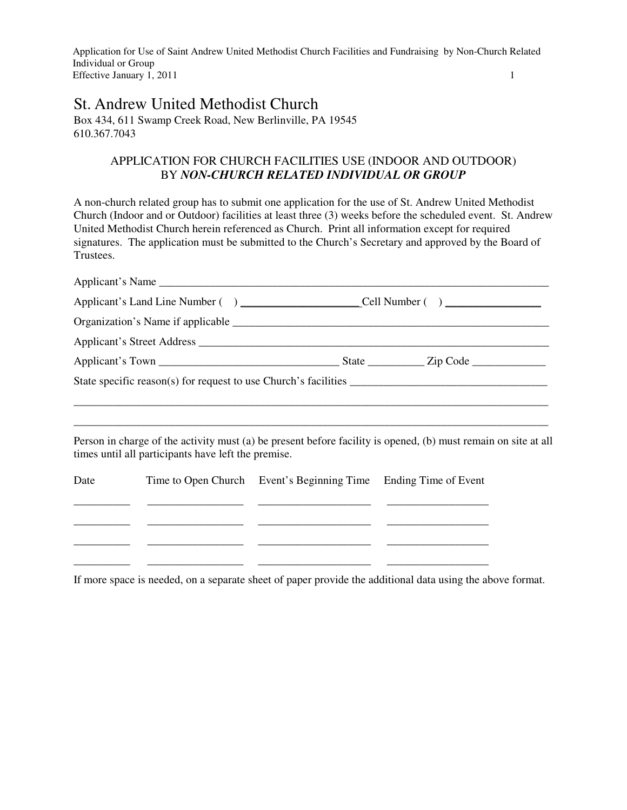# St. Andrew United Methodist Church

Box 434, 611 Swamp Creek Road, New Berlinville, PA 19545 610.367.7043

# APPLICATION FOR CHURCH FACILITIES USE (INDOOR AND OUTDOOR) BY *NON-CHURCH RELATED INDIVIDUAL OR GROUP*

A non-church related group has to submit one application for the use of St. Andrew United Methodist Church (Indoor and or Outdoor) facilities at least three (3) weeks before the scheduled event. St. Andrew United Methodist Church herein referenced as Church. Print all information except for required signatures. The application must be submitted to the Church's Secretary and approved by the Board of Trustees.

|      | Person in charge of the activity must (a) be present before facility is opened, (b) must remain on site at all<br>times until all participants have left the premise. |                                                                 |  |  |
|------|-----------------------------------------------------------------------------------------------------------------------------------------------------------------------|-----------------------------------------------------------------|--|--|
| Date |                                                                                                                                                                       | Time to Open Church Event's Beginning Time Ending Time of Event |  |  |

If more space is needed, on a separate sheet of paper provide the additional data using the above format.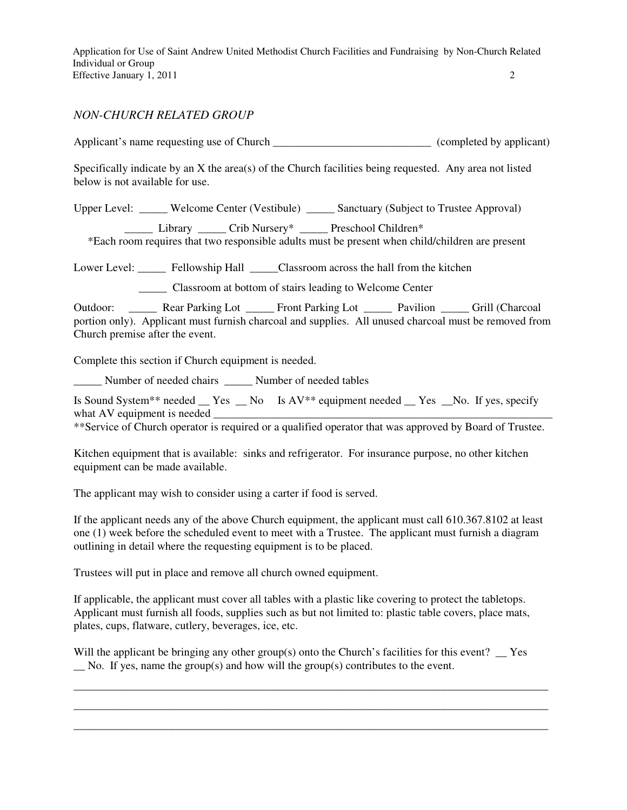#### *NON-CHURCH RELATED GROUP*

Applicant's name requesting use of Church \_\_\_\_\_\_\_\_\_\_\_\_\_\_\_\_\_\_\_\_\_\_\_\_\_\_\_\_\_\_\_\_ (completed by applicant)

Specifically indicate by an X the area(s) of the Church facilities being requested. Any area not listed below is not available for use.

Upper Level: \_\_\_\_\_ Welcome Center (Vestibule) \_\_\_\_\_ Sanctuary (Subject to Trustee Approval)

\_\_\_\_\_ Library \_\_\_\_\_ Crib Nursery\* \_\_\_\_\_ Preschool Children\*

\*Each room requires that two responsible adults must be present when child/children are present

Lower Level: Fellowship Hall \_\_\_\_\_Classroom across the hall from the kitchen

\_\_\_\_\_ Classroom at bottom of stairs leading to Welcome Center

Outdoor: \_\_\_\_\_ Rear Parking Lot \_\_\_\_\_ Front Parking Lot \_\_\_\_\_ Pavilion \_\_\_\_\_ Grill (Charcoal portion only). Applicant must furnish charcoal and supplies. All unused charcoal must be removed from Church premise after the event.

Complete this section if Church equipment is needed.

\_\_\_\_\_ Number of needed chairs \_\_\_\_\_ Number of needed tables

Is Sound System\*\* needed  $\_\text{Yes}$   $\_\text{No}$  Is AV\*\* equipment needed  $\_\text{Yes}$   $\_\text{No}$ . If yes, specify what AV equipment is needed

\*\*Service of Church operator is required or a qualified operator that was approved by Board of Trustee.

Kitchen equipment that is available: sinks and refrigerator. For insurance purpose, no other kitchen equipment can be made available.

The applicant may wish to consider using a carter if food is served.

If the applicant needs any of the above Church equipment, the applicant must call 610.367.8102 at least one (1) week before the scheduled event to meet with a Trustee. The applicant must furnish a diagram outlining in detail where the requesting equipment is to be placed.

Trustees will put in place and remove all church owned equipment.

If applicable, the applicant must cover all tables with a plastic like covering to protect the tabletops. Applicant must furnish all foods, supplies such as but not limited to: plastic table covers, place mats, plates, cups, flatware, cutlery, beverages, ice, etc.

Will the applicant be bringing any other group(s) onto the Church's facilities for this event?  $\Gamma$ No. If yes, name the group(s) and how will the group(s) contributes to the event.

\_\_\_\_\_\_\_\_\_\_\_\_\_\_\_\_\_\_\_\_\_\_\_\_\_\_\_\_\_\_\_\_\_\_\_\_\_\_\_\_\_\_\_\_\_\_\_\_\_\_\_\_\_\_\_\_\_\_\_\_\_\_\_\_\_\_\_\_\_\_\_\_\_\_\_\_\_\_\_\_\_\_\_\_ \_\_\_\_\_\_\_\_\_\_\_\_\_\_\_\_\_\_\_\_\_\_\_\_\_\_\_\_\_\_\_\_\_\_\_\_\_\_\_\_\_\_\_\_\_\_\_\_\_\_\_\_\_\_\_\_\_\_\_\_\_\_\_\_\_\_\_\_\_\_\_\_\_\_\_\_\_\_\_\_\_\_\_\_ \_\_\_\_\_\_\_\_\_\_\_\_\_\_\_\_\_\_\_\_\_\_\_\_\_\_\_\_\_\_\_\_\_\_\_\_\_\_\_\_\_\_\_\_\_\_\_\_\_\_\_\_\_\_\_\_\_\_\_\_\_\_\_\_\_\_\_\_\_\_\_\_\_\_\_\_\_\_\_\_\_\_\_\_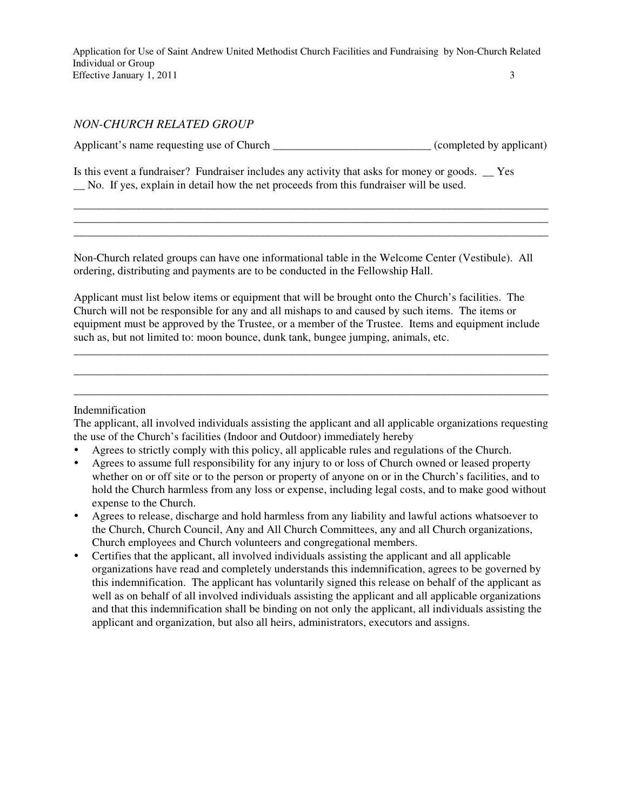## *NON-CHURCH RELATED GROUP*

Applicant's name requesting use of Church \_\_\_\_\_\_\_\_\_\_\_\_\_\_\_\_\_\_\_\_\_\_\_\_\_\_\_\_\_\_(completed by applicant)

\_\_\_\_\_\_\_\_\_\_\_\_\_\_\_\_\_\_\_\_\_\_\_\_\_\_\_\_\_\_\_\_\_\_\_\_\_\_\_\_\_\_\_\_\_\_\_\_\_\_\_\_\_\_\_\_\_\_\_\_\_\_\_\_\_\_\_\_\_\_\_\_\_\_\_\_\_\_\_\_\_\_\_\_ \_\_\_\_\_\_\_\_\_\_\_\_\_\_\_\_\_\_\_\_\_\_\_\_\_\_\_\_\_\_\_\_\_\_\_\_\_\_\_\_\_\_\_\_\_\_\_\_\_\_\_\_\_\_\_\_\_\_\_\_\_\_\_\_\_\_\_\_\_\_\_\_\_\_\_\_\_\_\_\_\_\_\_\_ \_\_\_\_\_\_\_\_\_\_\_\_\_\_\_\_\_\_\_\_\_\_\_\_\_\_\_\_\_\_\_\_\_\_\_\_\_\_\_\_\_\_\_\_\_\_\_\_\_\_\_\_\_\_\_\_\_\_\_\_\_\_\_\_\_\_\_\_\_\_\_\_\_\_\_\_\_\_\_\_\_\_\_\_

Is this event a fundraiser? Fundraiser includes any activity that asks for money or goods. \_\_ Yes \_\_ No. If yes, explain in detail how the net proceeds from this fundraiser will be used.

Non-Church related groups can have one informational table in the Welcome Center (Vestibule). All ordering, distributing and payments are to be conducted in the Fellowship Hall.

Applicant must list below items or equipment that will be brought onto the Church's facilities. The Church will not be responsible for any and all mishaps to and caused by such items. The items or equipment must be approved by the Trustee, or a member of the Trustee. Items and equipment include such as, but not limited to: moon bounce, dunk tank, bungee jumping, animals, etc.

\_\_\_\_\_\_\_\_\_\_\_\_\_\_\_\_\_\_\_\_\_\_\_\_\_\_\_\_\_\_\_\_\_\_\_\_\_\_\_\_\_\_\_\_\_\_\_\_\_\_\_\_\_\_\_\_\_\_\_\_\_\_\_\_\_\_\_\_\_\_\_\_\_\_\_\_\_\_\_\_\_\_\_\_ \_\_\_\_\_\_\_\_\_\_\_\_\_\_\_\_\_\_\_\_\_\_\_\_\_\_\_\_\_\_\_\_\_\_\_\_\_\_\_\_\_\_\_\_\_\_\_\_\_\_\_\_\_\_\_\_\_\_\_\_\_\_\_\_\_\_\_\_\_\_\_\_\_\_\_\_\_\_\_\_\_\_\_\_ \_\_\_\_\_\_\_\_\_\_\_\_\_\_\_\_\_\_\_\_\_\_\_\_\_\_\_\_\_\_\_\_\_\_\_\_\_\_\_\_\_\_\_\_\_\_\_\_\_\_\_\_\_\_\_\_\_\_\_\_\_\_\_\_\_\_\_\_\_\_\_\_\_\_\_\_\_\_\_\_\_\_\_\_

#### Indemnification

The applicant, all involved individuals assisting the applicant and all applicable organizations requesting the use of the Church's facilities (Indoor and Outdoor) immediately hereby

- Agrees to strictly comply with this policy, all applicable rules and regulations of the Church.
- Agrees to assume full responsibility for any injury to or loss of Church owned or leased property whether on or off site or to the person or property of anyone on or in the Church's facilities, and to hold the Church harmless from any loss or expense, including legal costs, and to make good without expense to the Church.
- Agrees to release, discharge and hold harmless from any liability and lawful actions whatsoever to the Church, Church Council, Any and All Church Committees, any and all Church organizations, Church employees and Church volunteers and congregational members.
- Certifies that the applicant, all involved individuals assisting the applicant and all applicable organizations have read and completely understands this indemnification, agrees to be governed by this indemnification. The applicant has voluntarily signed this release on behalf of the applicant as well as on behalf of all involved individuals assisting the applicant and all applicable organizations and that this indemnification shall be binding on not only the applicant, all individuals assisting the applicant and organization, but also all heirs, administrators, executors and assigns.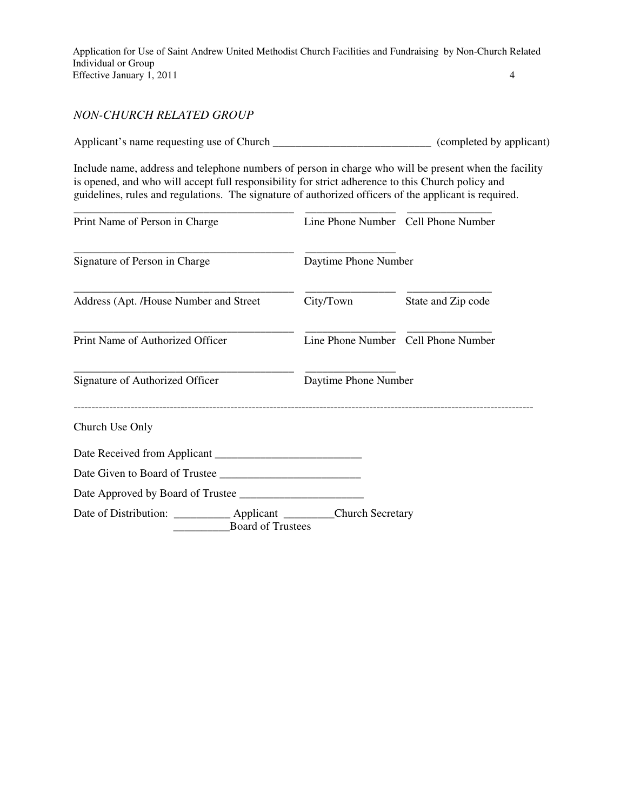## *NON-CHURCH RELATED GROUP*

Applicant's name requesting use of Church \_\_\_\_\_\_\_\_\_\_\_\_\_\_\_\_\_\_\_\_\_\_\_\_\_\_\_\_\_\_\_\_\_ (completed by applicant)

Include name, address and telephone numbers of person in charge who will be present when the facility is opened, and who will accept full responsibility for strict adherence to this Church policy and guidelines, rules and regulations. The signature of authorized officers of the applicant is required.

| Print Name of Person in Charge                                                                        | Line Phone Number Cell Phone Number |                      |  |
|-------------------------------------------------------------------------------------------------------|-------------------------------------|----------------------|--|
| Signature of Person in Charge                                                                         | Daytime Phone Number                |                      |  |
| Address (Apt. /House Number and Street)                                                               | City/Town                           | State and Zip code   |  |
| Print Name of Authorized Officer                                                                      | Line Phone Number Cell Phone Number |                      |  |
| Signature of Authorized Officer                                                                       |                                     | Daytime Phone Number |  |
| Church Use Only                                                                                       |                                     |                      |  |
|                                                                                                       |                                     |                      |  |
|                                                                                                       |                                     |                      |  |
|                                                                                                       |                                     |                      |  |
| Date of Distribution: ____________ Applicant ___________ Church Secretary<br><b>Board of Trustees</b> |                                     |                      |  |